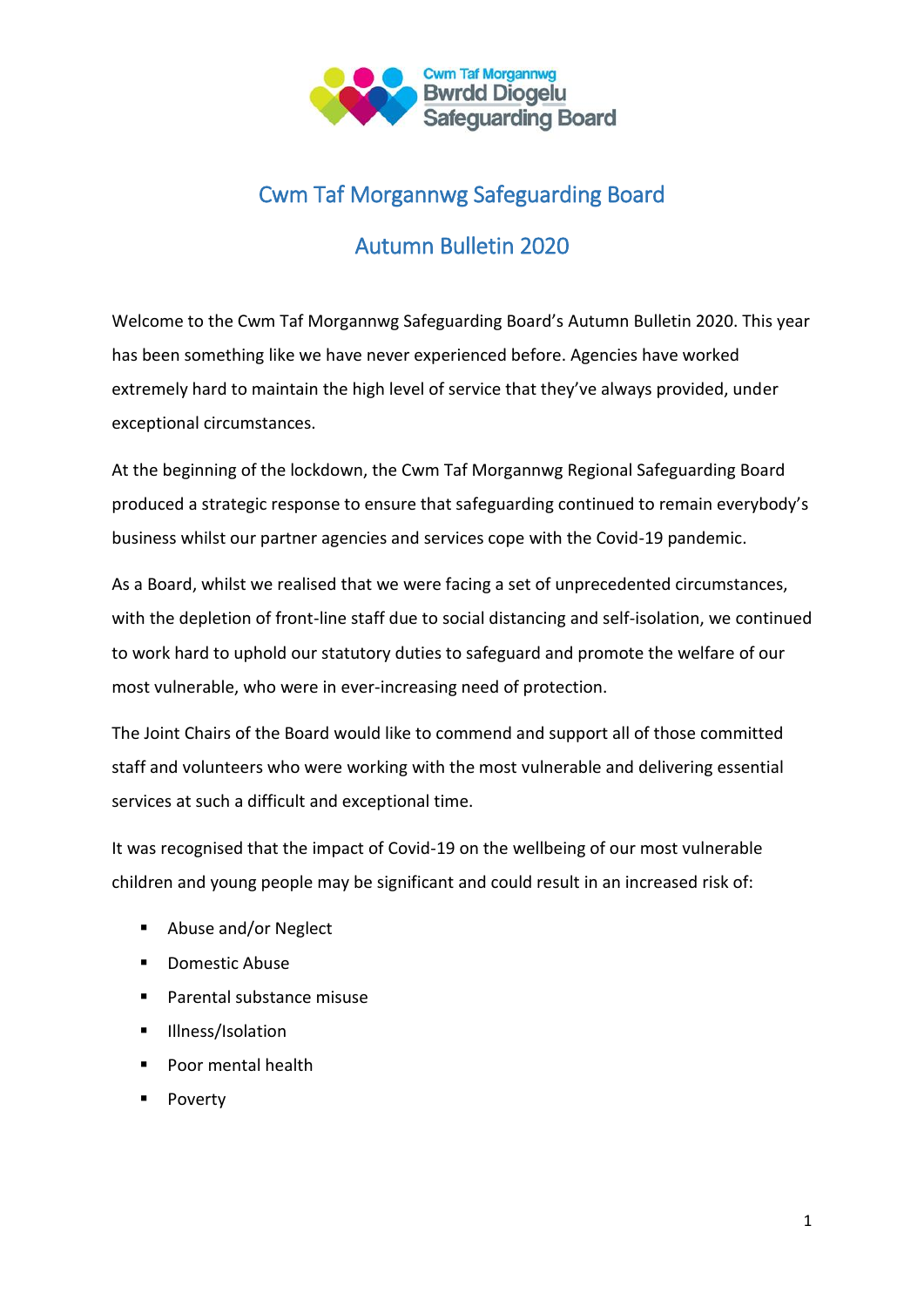

# Cwm Taf Morgannwg Safeguarding Board

# Autumn Bulletin 2020

Welcome to the Cwm Taf Morgannwg Safeguarding Board's Autumn Bulletin 2020. This year has been something like we have never experienced before. Agencies have worked extremely hard to maintain the high level of service that they've always provided, under exceptional circumstances.

At the beginning of the lockdown, the Cwm Taf Morgannwg Regional Safeguarding Board produced a strategic response to ensure that safeguarding continued to remain everybody's business whilst our partner agencies and services cope with the Covid-19 pandemic.

As a Board, whilst we realised that we were facing a set of unprecedented circumstances, with the depletion of front-line staff due to social distancing and self-isolation, we continued to work hard to uphold our statutory duties to safeguard and promote the welfare of our most vulnerable, who were in ever-increasing need of protection.

The Joint Chairs of the Board would like to commend and support all of those committed staff and volunteers who were working with the most vulnerable and delivering essential services at such a difficult and exceptional time.

It was recognised that the impact of Covid-19 on the wellbeing of our most vulnerable children and young people may be significant and could result in an increased risk of:

- Abuse and/or Neglect
- **Domestic Abuse**
- **Parental substance misuse**
- **Illness/Isolation**
- **Poor mental health**
- **Poverty**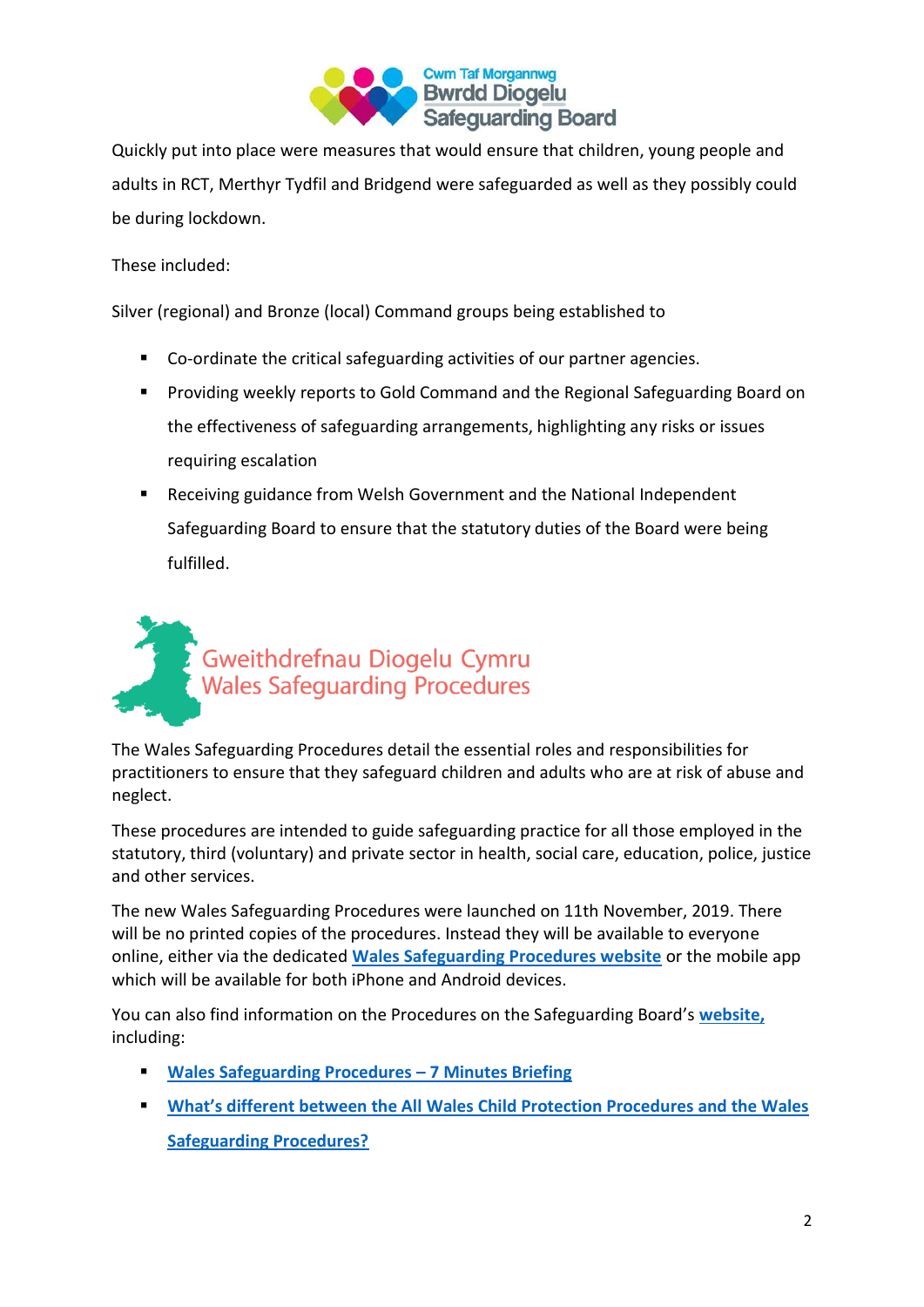

Quickly put into place were measures that would ensure that children, young people and adults in RCT, Merthyr Tydfil and Bridgend were safeguarded as well as they possibly could be during lockdown.

These included:

Silver (regional) and Bronze (local) Command groups being established to

- Co-ordinate the critical safeguarding activities of our partner agencies.
- **Providing weekly reports to Gold Command and the Regional Safeguarding Board on** the effectiveness of safeguarding arrangements, highlighting any risks or issues requiring escalation
- Receiving guidance from Welsh Government and the National Independent Safeguarding Board to ensure that the statutory duties of the Board were being fulfilled.



The Wales Safeguarding Procedures detail the essential roles and responsibilities for practitioners to ensure that they safeguard children and adults who are at risk of abuse and neglect.

These procedures are intended to guide safeguarding practice for all those employed in the statutory, third (voluntary) and private sector in health, social care, education, police, justice and other services.

The new Wales Safeguarding Procedures were launched on 11th November, 2019. There will be no printed copies of the procedures. Instead they will be available to everyone online, either via the dedicated **[Wales Safeguarding Procedures website](https://www.safeguarding.wales/)** or the mobile app which will be available for both iPhone and Android devices.

You can also find information on the Procedures on the Safeguarding Board's **[website,](https://www.cwmtafmorgannwgsafeguardingboard.co.uk/En/Professionals/WalesGuidanceAndInformation/WalesSafeguardingProcedures.aspx)** including:

- **[Wales Safeguarding Procedures](https://www.cwmtafmorgannwgsafeguardingboard.co.uk/En/Professionals/WalesGuidanceAndInformation/WalesSafeguardingProcedures7minBrief.pdf) – 7 Minutes Briefing**
- **What's different between the All Wales Child Protection Procedures and the Wales [Safeguarding Procedures?](https://www.cwmtafmorgannwgsafeguardingboard.co.uk/En/Professionals/WalesGuidanceAndInformation/DifferencesbetweentheAllWalesCPProceduresandtheWalesSafeguardingProcedures.pdf)**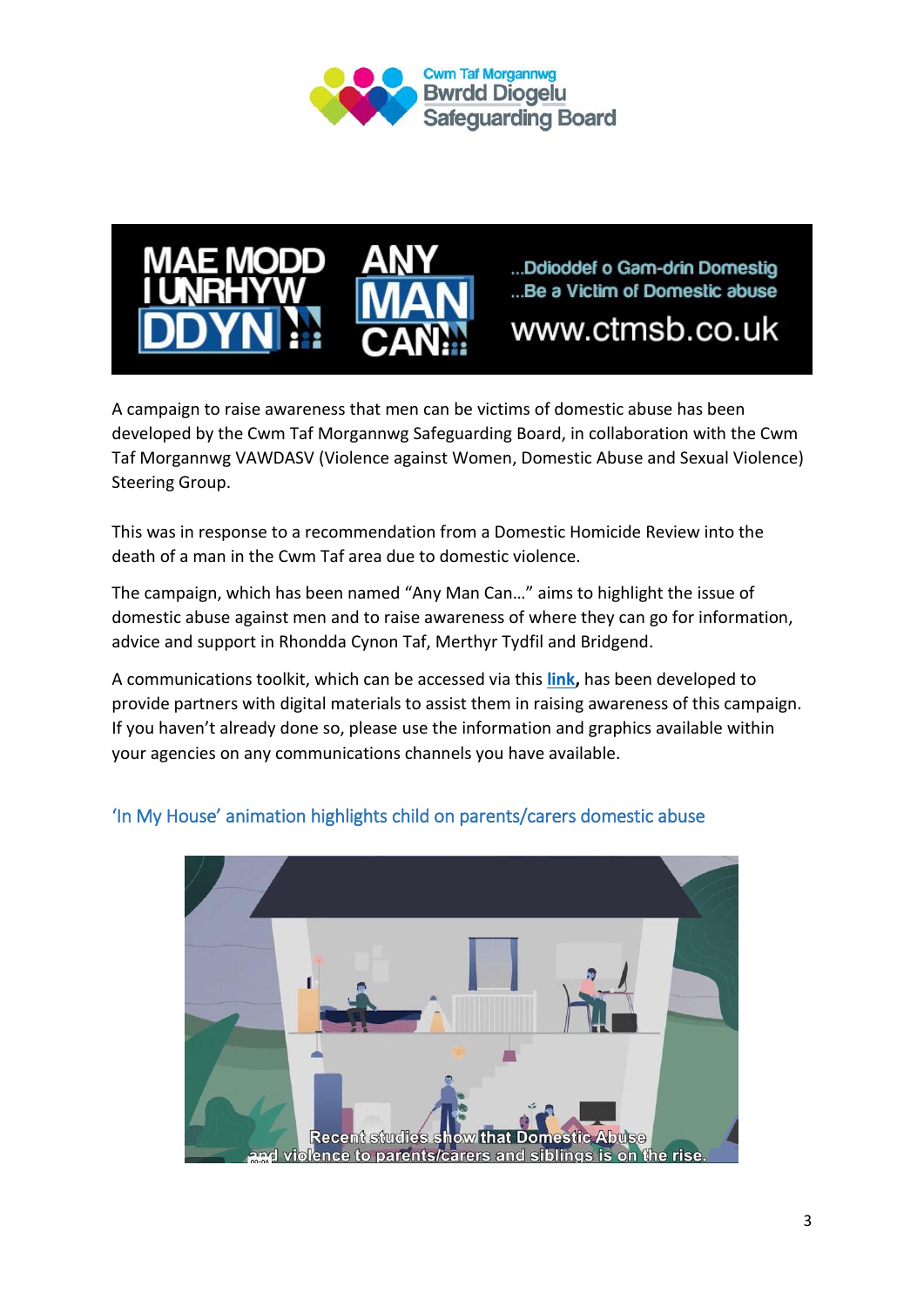



...Ddioddef o Gam-drin Domestig ...Be a Victim of Domestic abuse

www.ctmsb.co.uk

A campaign to raise awareness that men can be victims of domestic abuse has been developed by the Cwm Taf Morgannwg Safeguarding Board, in collaboration with the Cwm Taf Morgannwg VAWDASV (Violence against Women, Domestic Abuse and Sexual Violence) Steering Group.

This was in response to a recommendation from a Domestic Homicide Review into the death of a man in the Cwm Taf area due to domestic violence.

The campaign, which has been named "Any Man Can…" aims to highlight the issue of domestic abuse against men and to raise awareness of where they can go for information, advice and support in Rhondda Cynon Taf, Merthyr Tydfil and Bridgend.

A communications toolkit, which can be accessed via this **[link,](https://www.cwmtafmorgannwgsafeguardingboard.co.uk/En/Adults/AnyManCan%e2%80%a6ExperienceDomesticAbuse.aspx)** has been developed to provide partners with digital materials to assist them in raising awareness of this campaign. If you haven't already done so, please use the information and graphics available within your agencies on any communications channels you have available.



# 'In My House' animation highlights child on parents/carers domestic abuse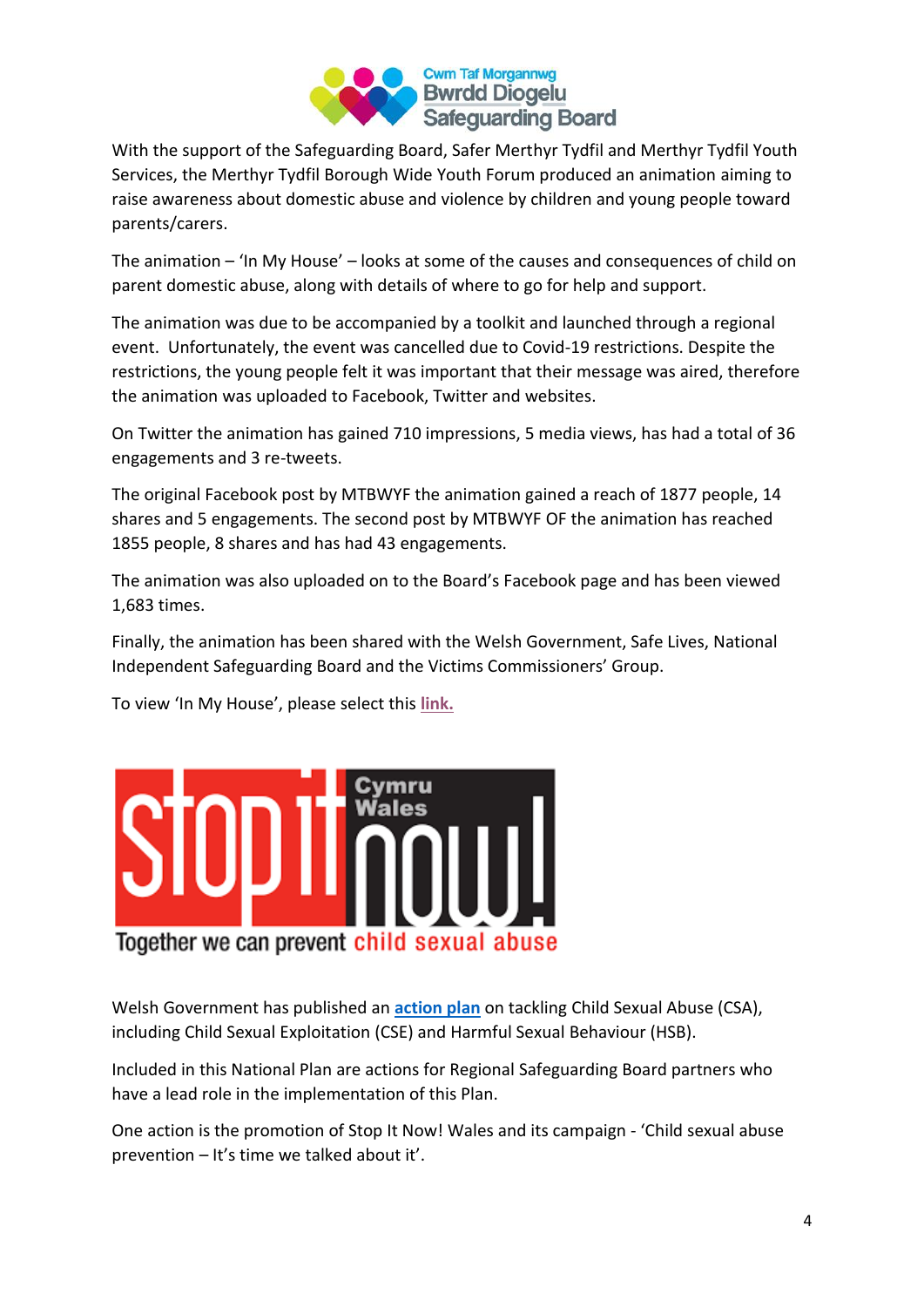

With the support of the Safeguarding Board, Safer Merthyr Tydfil and Merthyr Tydfil Youth Services, the Merthyr Tydfil Borough Wide Youth Forum produced an animation aiming to raise awareness about domestic abuse and violence by children and young people toward parents/carers.

The animation – 'In My House' – looks at some of the causes and consequences of child on parent domestic abuse, along with details of where to go for help and support.

The animation was due to be accompanied by a toolkit and launched through a regional event. Unfortunately, the event was cancelled due to Covid-19 restrictions. Despite the restrictions, the young people felt it was important that their message was aired, therefore the animation was uploaded to Facebook, Twitter and websites.

On Twitter the animation has gained 710 impressions, 5 media views, has had a total of 36 engagements and 3 re-tweets.

The original Facebook post by MTBWYF the animation gained a reach of 1877 people, 14 shares and 5 engagements. The second post by MTBWYF OF the animation has reached 1855 people, 8 shares and has had 43 engagements.

The animation was also uploaded on to the Board's Facebook page and has been viewed 1,683 times.

Finally, the animation has been shared with the Welsh Government, Safe Lives, National Independent Safeguarding Board and the Victims Commissioners' Group.

To view 'In My House', please select this **[link.](https://vimeo.com/417198258?fbclid=IwAR2CXg7C3KFYGF3Ot0MjKhcdzYVCEH3MqoyBgZEWoBRM2d9x9ikeMRW6qiM)**



Welsh Government has published an **[action plan](https://gov.wales/sites/default/files/publications/2019-07/national-action-plan-preventing-and-responding-to-child-sexual-abuse.pdf)** on tackling Child Sexual Abuse (CSA), including Child Sexual Exploitation (CSE) and Harmful Sexual Behaviour (HSB).

Included in this National Plan are actions for Regional Safeguarding Board partners who have a lead role in the implementation of this Plan.

One action is the promotion of Stop It Now! Wales and its campaign - 'Child sexual abuse prevention – It's time we talked about it'.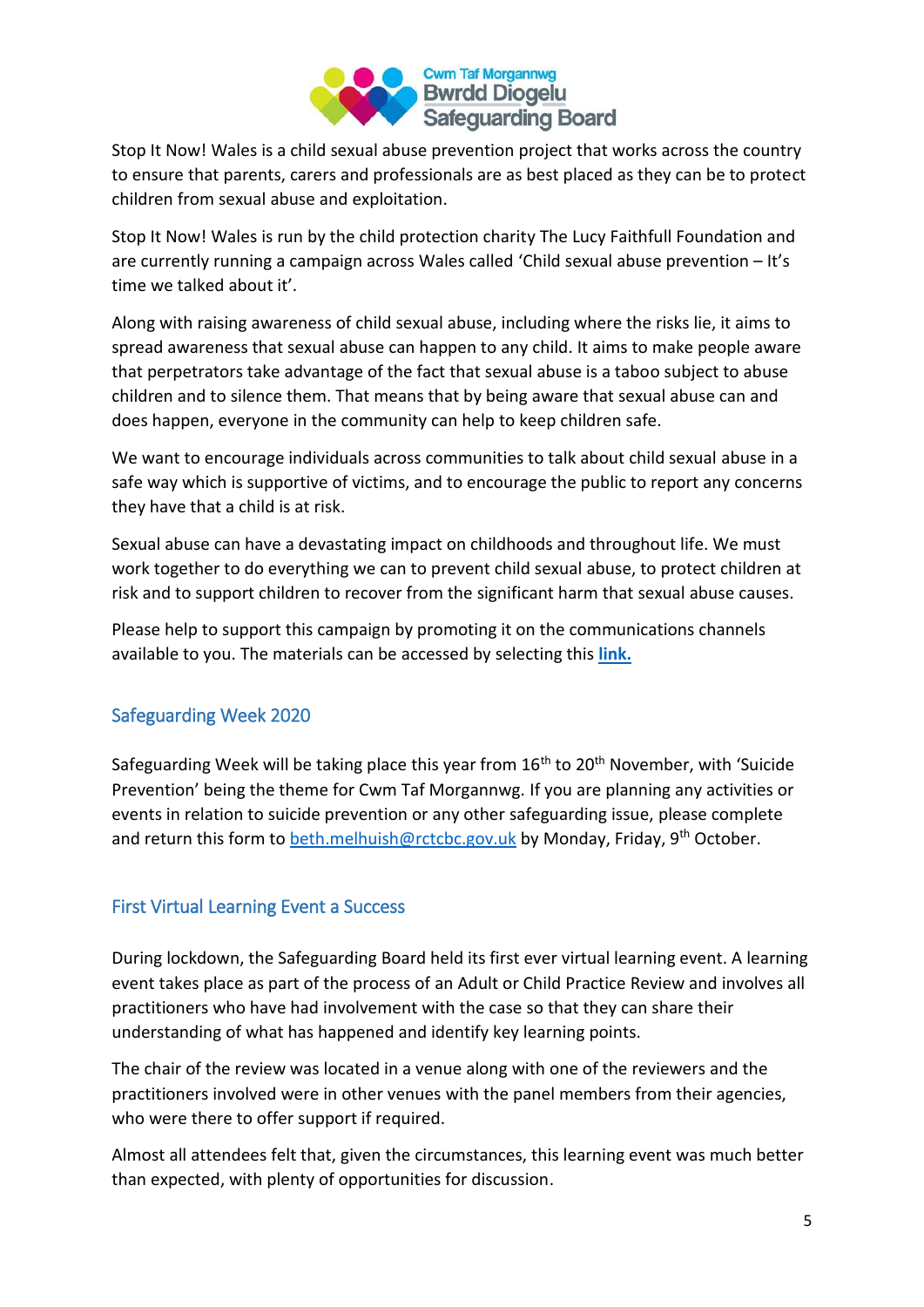

Stop It Now! Wales is a child sexual abuse prevention project that works across the country to ensure that parents, carers and professionals are as best placed as they can be to protect children from sexual abuse and exploitation.

Stop It Now! Wales is run by the child protection charity The Lucy Faithfull Foundation and are currently running a campaign across Wales called 'Child sexual abuse prevention – It's time we talked about it'.

Along with raising awareness of child sexual abuse, including where the risks lie, it aims to spread awareness that sexual abuse can happen to any child. It aims to make people aware that perpetrators take advantage of the fact that sexual abuse is a taboo subject to abuse children and to silence them. That means that by being aware that sexual abuse can and does happen, everyone in the community can help to keep children safe.

We want to encourage individuals across communities to talk about child sexual abuse in a safe way which is supportive of victims, and to encourage the public to report any concerns they have that a child is at risk.

Sexual abuse can have a devastating impact on childhoods and throughout life. We must work together to do everything we can to prevent child sexual abuse, to protect children at risk and to support children to recover from the significant harm that sexual abuse causes.

Please help to support this campaign by promoting it on the communications channels available to you. The materials can be accessed by selecting this **[link.](https://bit.ly/2RKRWVd)**

## Safeguarding Week 2020

Safeguarding Week will be taking place this year from  $16<sup>th</sup>$  to  $20<sup>th</sup>$  November, with 'Suicide Prevention' being the theme for Cwm Taf Morgannwg. If you are planning any activities or events in relation to suicide prevention or any other safeguarding issue, please complete and return this form to [beth.melhuish@rctcbc.gov.uk](mailto:beth.melhuish@rctcbc.gov.uk) by Monday, Friday,  $9<sup>th</sup>$  October.

#### First Virtual Learning Event a Success

During lockdown, the Safeguarding Board held its first ever virtual learning event. A learning event takes place as part of the process of an Adult or Child Practice Review and involves all practitioners who have had involvement with the case so that they can share their understanding of what has happened and identify key learning points.

The chair of the review was located in a venue along with one of the reviewers and the practitioners involved were in other venues with the panel members from their agencies, who were there to offer support if required.

Almost all attendees felt that, given the circumstances, this learning event was much better than expected, with plenty of opportunities for discussion.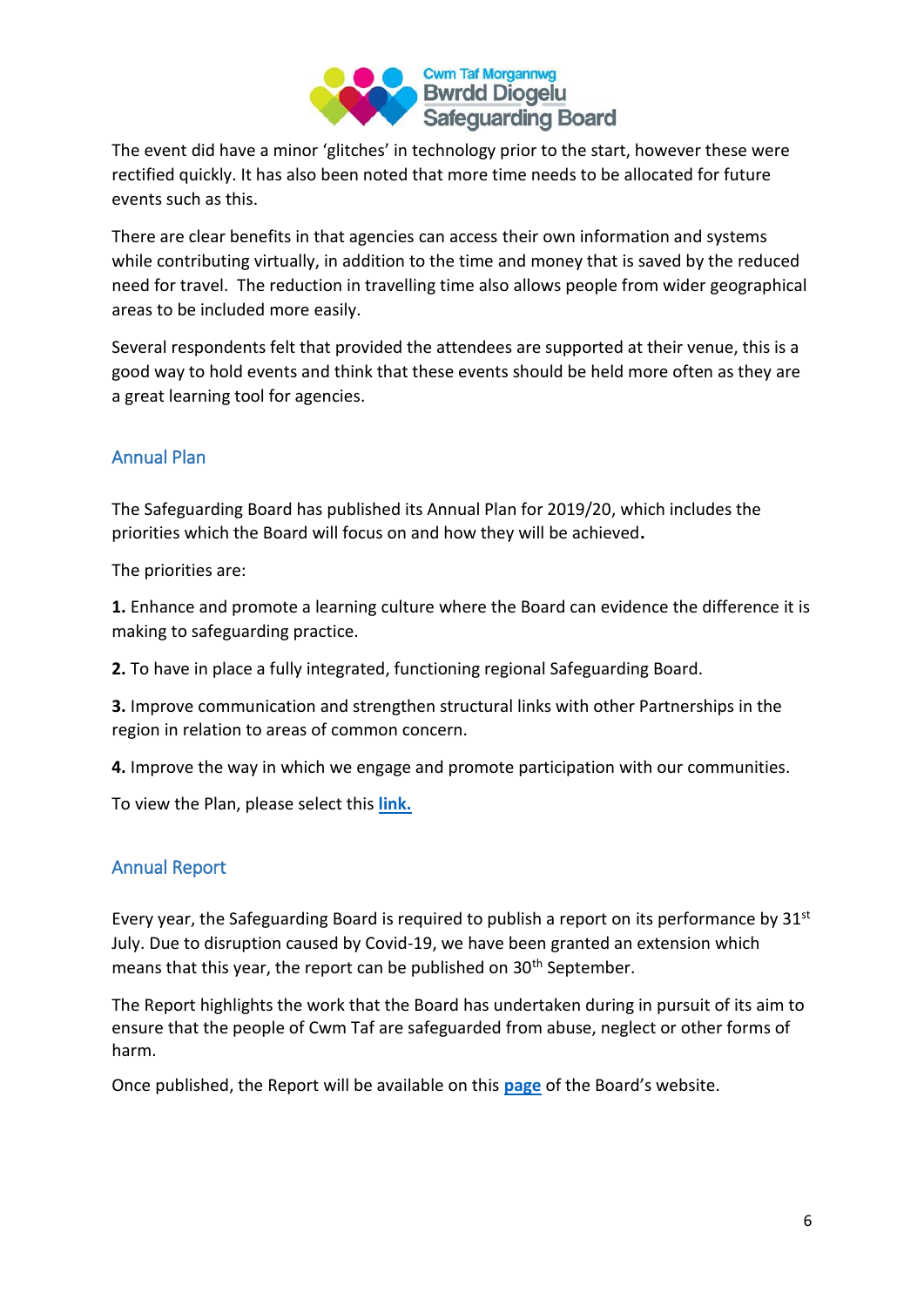

The event did have a minor 'glitches' in technology prior to the start, however these were rectified quickly. It has also been noted that more time needs to be allocated for future events such as this.

There are clear benefits in that agencies can access their own information and systems while contributing virtually, in addition to the time and money that is saved by the reduced need for travel. The reduction in travelling time also allows people from wider geographical areas to be included more easily.

Several respondents felt that provided the attendees are supported at their venue, this is a good way to hold events and think that these events should be held more often as they are a great learning tool for agencies.

### Annual Plan

The Safeguarding Board has published its Annual Plan for 2019/20, which includes the priorities which the Board will focus on and how they will be achieved**.**

The priorities are:

**1.** Enhance and promote a learning culture where the Board can evidence the difference it is making to safeguarding practice.

**2.** To have in place a fully integrated, functioning regional Safeguarding Board.

**3.** Improve communication and strengthen structural links with other Partnerships in the region in relation to areas of common concern.

**4.** Improve the way in which we engage and promote participation with our communities.

To view the Plan, please select this **[link.](https://www.cwmtafmorgannwgsafeguardingboard.co.uk/En/NewsEvents/pdfs/CTMSBAnnualPlan20202021.pdf)**

#### Annual Report

Every year, the Safeguarding Board is required to publish a report on its performance by 31<sup>st</sup> July. Due to disruption caused by Covid-19, we have been granted an extension which means that this year, the report can be published on 30<sup>th</sup> September.

The Report highlights the work that the Board has undertaken during in pursuit of its aim to ensure that the people of Cwm Taf are safeguarded from abuse, neglect or other forms of harm.

Once published, the Report will be available on this **[page](https://www.cwmtafmorgannwgsafeguardingboard.co.uk/En/AboutUs/AnnualReports.aspx)** of the Board's website.